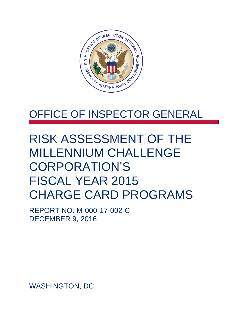

# OFFICE OF INSPECTOR GENERAL

# RISK ASSESSMENT OF THE MILLENNIUM CHALLENGE CORPORATION'S FISCAL YEAR 2015 CHARGE CARD PROGRAMS

REPORT NO. M-000-17-002-C DECEMBER 9, 2016

WASHINGTON, DC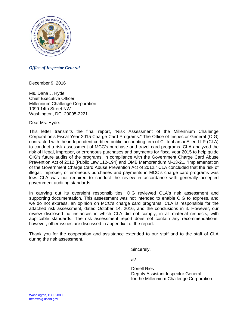

#### *Office of Inspector General*

December 9, 2016

Ms. Dana J. Hyde Chief Executive Officer Millennium Challenge Corporation 1099 14th Street NW Washington, DC 20005-2221

Dear Ms. Hyde:

This letter transmits the final report, "Risk Assessment of the Millennium Challenge Corporation's Fiscal Year 2015 Charge Card Programs*.*" The Office of Inspector General (OIG) contracted with the independent certified public accounting firm of CliftonLarsonAllen LLP (CLA) to conduct a risk assessment of MCC's purchase and travel card programs. CLA analyzed the risk of illegal, improper, or erroneous purchases and payments for fiscal year 2015 to help guide OIG's future audits of the programs, in compliance with the Government Charge Card Abuse Prevention Act of 2012 (Public Law 112-194) and OMB Memorandum M-13-21*, "*Implementation of the Government Charge Card Abuse Prevention Act of 2012." CLA concluded that the risk of illegal, improper, or erroneous purchases and payments in MCC's charge card programs was low. CLA was not required to conduct the review in accordance with generally accepted government auditing standards.

In carrying out its oversight responsibilities, OIG reviewed CLA's risk assessment and supporting documentation. This assessment was not intended to enable OIG to express, and we do not express, an opinion on MCC's charge card programs. CLA is responsible for the attached risk assessment, dated October 14, 2016, and the conclusions in it. However, our review disclosed no instances in which CLA did not comply, in all material respects, with applicable standards. The risk assessment report does not contain any recommendations; however, other issues are discussed in appendix I of the report.

Thank you for the cooperation and assistance extended to our staff and to the staff of CLA during the risk assessment.

Sincerely,

 $/s/$ 

Donell Ries Deputy Assistant Inspector General for the Millennium Challenge Corporation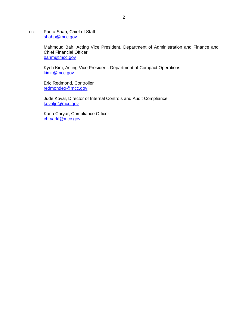cc: Parita Shah, Chief of Staff [shahp@mcc.gov](mailto:shahp@mcc.gov)

> Mahmoud Bah, Acting Vice President, Department of Administration and Finance and Chief Financial Officer [bahm@mcc.gov](mailto:bahm@mcc.gov)

Kyeh Kim, Acting Vice President, Department of Compact Operations [kimk@mcc.gov](mailto:kimk@mcc.gov)

Eric Redmond, Controller [redmondeg@mcc.gov](mailto:redmondeg@mcc.gov)

Jude Koval, Director of Internal Controls and Audit Compliance [kovaljg@mcc.gov](mailto:kovaljg@mcc.gov)

Karla Chryar, Compliance Officer [chryarkl@mcc.gov](mailto:chryarkl@mcc.gov)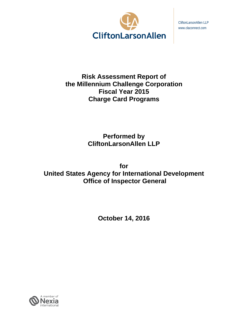

CliftonLarsonAllen LLP www.claconnect.com

# **Risk Assessment Report of the Millennium Challenge Corporation Fiscal Year 2015 Charge Card Programs**

**Performed by CliftonLarsonAllen LLP** 

**for United States Agency for International Development Office of Inspector General** 

**October 14, 2016** 

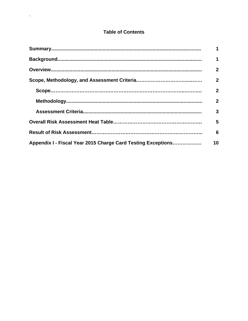# **Table of Contents**

 $\Delta \sim 10^{11}$  m  $^{-1}$ 

|                                                              | 1            |
|--------------------------------------------------------------|--------------|
|                                                              | 1            |
|                                                              | $\mathbf{2}$ |
|                                                              | $\mathbf{2}$ |
|                                                              | $\mathbf{2}$ |
|                                                              | $\mathbf{2}$ |
|                                                              | 3            |
|                                                              | 5            |
|                                                              | 6            |
| Appendix I - Fiscal Year 2015 Charge Card Testing Exceptions | 10           |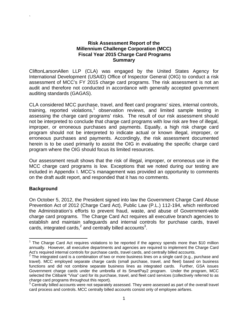#### **Risk Assessment Report of the Millennium Challenge Corporation (MCC) Fiscal Year 2015 Charge Card Programs Summary**

CliftonLarsonAllen LLP (CLA) was engaged by the United States Agency for International Development (USAID) Office of Inspector General (OIG) to conduct a risk assessment of MCC's FY 2015 charge card programs. The risk assessment is not an audit and therefore not conducted in accordance with generally accepted government auditing standards (GAGAS).

CLA considered MCC purchase, travel, and fleet card programs' sizes, internal controls, training, reported violations,<sup>1</sup> observation reviews, and limited sample testing in assessing the charge card programs' risks. The result of our risk assessment should not be interpreted to conclude that charge card programs with low risk are free of illegal, improper, or erroneous purchases and payments. Equally, a high risk charge card program should not be interpreted to indicate actual or known illegal, improper, or erroneous purchases and payments. Accordingly, the risk assessment documented herein is to be used primarily to assist the OIG in evaluating the specific charge card program where the OIG should focus its limited resources.

Our assessment result shows that the risk of illegal, improper, or erroneous use in the MCC charge card programs is low. Exceptions that we noted during our testing are included in Appendix I. MCC's management was provided an opportunity to comments on the draft audit report, and responded that it has no comments.

# **Background**

`

On October 5, 2012, the President signed into law the Government Charge Card Abuse Prevention Act of 2012 (Charge Card Act), Public Law (P.L.) 112-194, which reinforced the Administration's efforts to prevent fraud, waste, and abuse of Government-wide charge card programs. The Charge Card Act requires all executive branch agencies to establish and maintain safeguards and internal controls for purchase cards, travel cards, integrated cards, $^2$  and centrally billed accounts<sup>3</sup>.

<sup>&</sup>lt;sup>1</sup> The Charge Card Act requires violations to be reported if the agency spends more than \$10 million annually. However, all executive departments and agencies are required to implement the Charge Card Act's required internal controls for purchase cards, travel cards, and centrally billed accounts.

 $2$  The integrated card is a combination of two or more business lines on a single card (e.g., purchase and travel). MCC employed separate charge cards (small purchase, travel, and fleet) based on business functions and did not combine separate business lines as integrated cards. Further, GSA issues Government charge cards under the umbrella of its SmartPay2 program. Under the program, MCC selected the Citibank "Visa" card for its purchase, travel, and fleet card services (collectively referred to as charge card programs throughout this report).

 $3$  Centrally billed accounts were not separately assessed. They were assessed as part of the overall travel card process and controls. MCC centrally billed accounts consist only of employee airfares.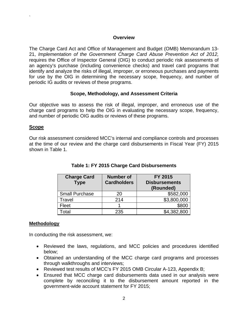#### **Overview**

The Charge Card Act and Office of Management and Budget (OMB) Memorandum 13- 21, *Implementation of the Government Charge Card Abuse Prevention Act of 2012,*  requires the Office of Inspector General (OIG) to conduct periodic risk assessments of an agency's purchase (including convenience checks) and travel card programs that identify and analyze the risks of illegal, improper, or erroneous purchases and payments for use by the OIG in determining the necessary scope, frequency, and number of periodic IG audits or reviews of these programs.

#### **Scope, Methodology, and Assessment Criteria**

Our objective was to assess the risk of illegal, improper, and erroneous use of the charge card programs to help the OIG in evaluating the necessary scope, frequency, and number of periodic OIG audits or reviews of these programs.

#### **Scope**

`

Our risk assessment considered MCC's internal and compliance controls and processes at the time of our review and the charge card disbursements in Fiscal Year (FY) 2015 shown in Table 1.

| <b>Charge Card</b><br><b>Type</b> | <b>Number of</b><br><b>Cardholders</b> | <b>FY 2015</b><br><b>Disbursements</b><br>(Rounded) |
|-----------------------------------|----------------------------------------|-----------------------------------------------------|
| <b>Small Purchase</b>             | 20                                     | \$582,000                                           |
| Travel                            | 214                                    | \$3,800,000                                         |
| Fleet                             |                                        | \$800                                               |
| otal                              | 235                                    | \$4,382,800                                         |

# **Table 1: FY 2015 Charge Card Disbursements**

#### **Methodology**

In conducting the risk assessment, we:

- Reviewed the laws, regulations, and MCC policies and procedures identified below;
- Obtained an understanding of the MCC charge card programs and processes through walkthroughs and interviews;
- Reviewed test results of MCC's FY 2015 OMB Circular A-123, Appendix B;
- Ensured that MCC charge card disbursements data used in our analysis were complete by reconciling it to the disbursement amount reported in the government-wide account statement for FY 2015;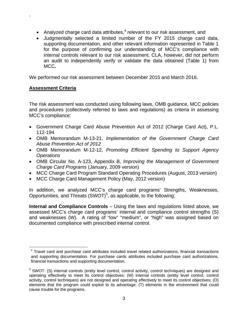- Analyzed charge card data attributes, $4$  relevant to our risk assessment, and
- Judgmentally selected a limited number of the FY 2015 charge card data, supporting documentation, and other relevant information represented in Table 1 for the purpose of confirming our understanding of MCC's compliance with internal controls relevant to our risk assessment. CLA, however, did not perform an audit to independently verify or validate the data obtained (Table 1) from MCC**.**

We performed our risk assessment between December 2015 and March 2016.

#### **Assessment Criteria**

`

The risk assessment was conducted using following laws, OMB guidance, MCC policies and procedures (collectively referred to laws and regulations) as criteria in assessing MCC's compliance:

- Government Charge Card Abuse Prevention Act of 2012 (Charge Card Act), P.L. 112-194
- OMB Memorandum M-13-21, *Implementation of the Government Charge Card Abuse Prevention Act of 2012*
- OMB Memorandum M-12-12, *Promoting Efficient Spending to Support Agency Operations*
- OMB Circular No. A-123, Appendix B, *Improving the Management of Government Charge Card Programs* (January, 2009 version)
- MCC Charge Card Program Standard Operating Procedures (August, 2013 version)
- MCC Charge Card Management Policy (May, 2012 version)

In addition, we analyzed MCC's charge card programs' Strengths, Weaknesses, Opportunities, and Threats  $(SWOT)^5$ , as applicable, to the following:

**Internal and Compliance Controls** – Using the laws and regulations listed above, we assessed MCC's charge card programs' internal and compliance control strengths (S) and weaknesses (W). A rating of "low" "medium", or "high" was assigned based on documented compliance with prescribed internal control.

<sup>&</sup>lt;sup>4</sup> Travel card and purchase card attributes included travel related authorizations, financial transactions and supporting documentation. For purchase cards attributes included purchase card authorizations, financial transactions and supporting documentation.

<sup>&</sup>lt;sup>5</sup> SWOT: (S) internal controls (entity level control, control activity, control techniques) are designed and operating effectively to meet its control objectives; (W) internal controls (entity level control, control activity, control techniques) are not designed and operating effectively to meet its control objectives; (O) elements that the program could exploit to its advantage; (T) elements in the environment that could cause trouble for the programs.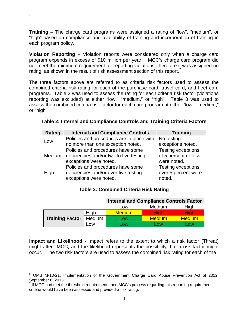**Training** – The charge card programs were assigned a rating of "low", "medium", or "high" based on compliance and availability of training and incorporation of training in each program policy.

`

**Violation Reporting** – Violation reports were considered only when a charge card program expends in excess of \$10 million per year.<sup>6</sup> MCC's charge card program did not meet the minimum requirement for reporting violations; therefore it was assigned no rating, as shown in the result of risk assessment section of this report.

The three factors above are referred to as criteria risk factors used to assess the combined criteria risk rating for each of the purchase card, travel card, and fleet card programs. Table 2 was used to assess the rating for each criteria risk factor (violations reporting was excluded) at either "low," "medium," or "high". Table 3 was used to assess the combined criteria risk factor for each card program at either "low," "medium," or "high".

| <b>Rating</b> | <b>Internal and Compliance Controls</b>   | <b>Training</b>           |
|---------------|-------------------------------------------|---------------------------|
| Low           | Policies and procedures are in place with | No testing                |
|               | no more than one exception noted.         | exceptions noted.         |
|               | Policies and procedures have some         | Testing exceptions        |
| Medium        | deficiencies and/or two to five testing   | of 5 percent or less      |
|               | exceptions were noted.                    | were noted.               |
|               | Policies and procedures have some         | <b>Testing exceptions</b> |
| High          | deficiencies and/or over five testing     | over 5 percent were       |
|               | exceptions were noted.                    | noted.                    |

| Table 2: Internal and Compliance Controls and Training Criteria Factors |  |  |  |  |
|-------------------------------------------------------------------------|--|--|--|--|
|-------------------------------------------------------------------------|--|--|--|--|

#### **Table 3: Combined Criteria Risk Rating**

|                        |            | <b>Internal and Compliance Controls Factor</b> |               |               |
|------------------------|------------|------------------------------------------------|---------------|---------------|
|                        |            | Low                                            | Medium        | High          |
|                        | High       | <b>Medium</b>                                  | Hiah          | Hiah          |
| <b>Training Factor</b> | Medium     | Low                                            | <b>Medium</b> | <b>Medium</b> |
|                        | <b>LOW</b> | LOW.                                           | _OW           | LOW           |

**Impact and Likelihood** - Impact refers to the extent to which a risk factor (Threat) might affect MCC, and the likelihood represents the possibility that a risk factor might occur. The two risk factors are used to assess the combined risk rating for each of the

 <sup>6</sup> OMB M-13-21, Implementation of the Government Charge Card Abuse Prevention Act of 2012,

September 6, 2013. 7 If MCC had met the threshold requirement, then MCC's process regarding this reporting requirement criteria would have been assessed and provided a risk rating.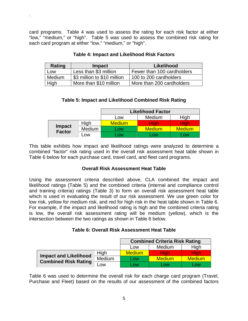card programs. Table 4 was used to assess the rating for each risk factor at either "low," "medium," or "high". Table 5 was used to assess the combined risk rating for each card program at either "low," "medium," or "high".

`

| Rating | <b>Impact</b>               | Likelihood                 |
|--------|-----------------------------|----------------------------|
| Low    | Less than \$3 million       | Fewer than 100 cardholders |
| Medium | \$3 million to \$10 million | 100 to 200 cardholders     |
| High   | More than \$10 million      | More than 200 cardholders  |

#### **Table 4: Impact and Likelihood Risk Factors**

#### **Table 5: Impact and Likelihood Combined Risk Rating**

|                         |        | <b>Likelihood Factor</b> |               |               |
|-------------------------|--------|--------------------------|---------------|---------------|
|                         |        | Low                      | <b>Medium</b> | High          |
|                         | High   | <b>Medium</b>            | Hiah          | Hiah          |
| <b>Impact</b><br>Factor | Medium | _OW                      | <b>Medium</b> | <b>Medium</b> |
|                         | .ow    | .ow                      | .OW           | .OW           |

This table exhibits how impact and likelihood ratings were analyzed to determine a combined "factor" risk rating used in the overall risk assessment heat table shown in Table 6 below for each purchase card, travel card, and fleet card programs.

#### **Overall Risk Assessment Heat Table**

Using the assessment criteria described above, CLA combined the impact and likelihood ratings (Table 5) and the combined criteria (internal and compliance control and training criteria) ratings (Table 3) to form an overall risk assessment heat table which is used in evaluating the result of our risk assessment. We use green color for low risk, yellow for medium risk, and red for high risk in the heat table shown in Table 6. For example, if the impact and likelihood rating is high and the combined criteria rating is low, the overall risk assessment rating will be medium (yellow), which is the intersection between the two ratings as shown in Table 6 below.

|                                                             |        | <b>Combined Criteria Risk Rating</b> |                |                         |
|-------------------------------------------------------------|--------|--------------------------------------|----------------|-------------------------|
|                                                             |        | ∟0W                                  | Medium         | High                    |
|                                                             | High   | <b>Medium</b>                        | Hiah           | High                    |
| <b>Impact and Likelihood</b><br><b>Combined Risk Rating</b> | Medium | LOW                                  | <b>Medium</b>  | <b>Medium</b>           |
|                                                             | -OW    | -OW                                  | 0 <sub>W</sub> | $\overline{\text{row}}$ |

Table 6 was used to determine the overall risk for each charge card program (Travel, Purchase and Fleet) based on the results of our assessment of the combined factors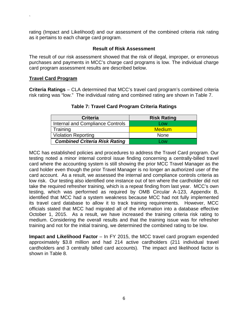rating (Impact and Likelihood) and our assessment of the combined criteria risk rating as it pertains to each charge card program.

#### **Result of Risk Assessment**

The result of our risk assessment showed that the risk of illegal, improper, or erroneous purchases and payments in MCC's charge card programs is low. The individual charge card program assessment results are described below.

#### **Travel Card Program**

`

**Criteria Ratings** – CLA determined that MCC's travel card program's combined criteria risk rating was "low." The individual rating and combined rating are shown in Table 7.

| <b>Criteria</b>                      | <b>Risk Rating</b> |
|--------------------------------------|--------------------|
| Internal and Compliance Controls     | Low                |
| Training                             | <b>Medium</b>      |
| <b>Violation Reporting</b>           | <b>None</b>        |
| <b>Combined Criteria Risk Rating</b> | <b>OW</b>          |

#### **Table 7: Travel Card Program Criteria Ratings**

MCC has established policies and procedures to address the Travel Card program. Our testing noted a minor internal control issue finding concerning a centrally-billed travel card where the accounting system is still showing the prior MCC Travel Manager as the card holder even though the prior Travel Manager is no longer an authorized user of the card account. As a result, we assessed the internal and compliance controls criteria as low risk. Our testing also identified one instance out of ten where the cardholder did not take the required refresher training, which is a repeat finding from last year. MCC's own testing, which was performed as required by OMB Circular A-123, Appendix B, identified that MCC had a system weakness because MCC had not fully implemented its travel card database to allow it to track training requirements. However, MCC officials stated that MCC had migrated all of the information into a database effective October 1, 2015. As a result, we have increased the training criteria risk rating to medium. Considering the overall results and that the training issue was for refresher training and not for the initial training, we determined the combined rating to be low.

**Impact and Likelihood Factor** – In FY 2015, the MCC travel card program expended approximately \$3.8 million and had 214 active cardholders (211 individual travel cardholders and 3 centrally billed card accounts). The impact and likelihood factor is shown in Table 8.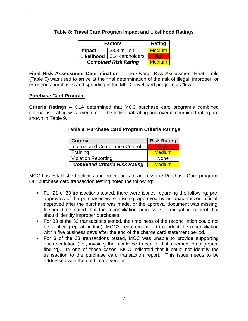| <b>Factors</b>                 |  | Rating        |
|--------------------------------|--|---------------|
| \$3.8 million<br><b>Impact</b> |  | <b>Medium</b> |
| Likelihood<br>214 cardholders  |  | <b>High</b>   |
| <b>Combined Risk Rating</b>    |  | <b>Medium</b> |

#### **Table 8: Travel Card Program Impact and Likelihood Ratings**

**Final Risk Assessment Determination** – The Overall Risk Assessment Heat Table (Table 6) was used to arrive at the final determination of the risk of illegal, improper, or erroneous purchases and spending in the MCC travel card program as "low."

#### **Purchase Card Program**

`

**Criteria Ratings** – CLA determined that MCC purchase card program's combined criteria risk rating was "medium." The individual rating and overall combined rating are shown in Table 9.

#### **Table 9: Purchase Card Program Criteria Ratings**

| <b>Criteria</b>                      | <b>Risk Rating</b> |
|--------------------------------------|--------------------|
| Internal and Compliance Control      | <b>High</b>        |
| Training                             | <b>Medium</b>      |
| <b>Violation Reporting</b>           | None               |
| <b>Combined Criteria Risk Rating</b> | <b>Medium</b>      |

MCC has established policies and procedures to address the Purchase Card program. Our purchase card transaction testing noted the following:

- For 21 of 33 transactions tested, there were issues regarding the following: preapprovals of the purchases were missing, approved by an unauthorized official, approved after the purchase was made, or the approval document was missing. It should be noted that the reconciliation process is a mitigating control that should identify improper purchases.
- For 33 of the 33 transactions tested, the timeliness of the reconciliation could not be verified (repeat finding). MCC's requirement is to conduct the reconciliation within five business days after the end of the charge card statement period.
- For 3 of the 33 transactions tested, MCC was unable to provide supporting documentation (i.e., invoice) that could be traced to disbursement data (repeat finding). In one of those cases, MCC indicated that it could not identify the transaction to the purchase card transaction report. This issue needs to be addressed with the credit card vendor.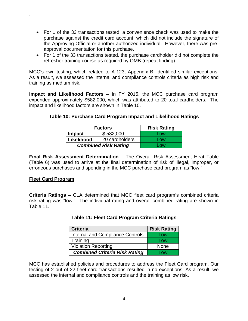- For 1 of the 33 transactions tested, a convenience check was used to make the purchase against the credit card account, which did not include the signature of the Approving Official or another authorized individual. However, there was preapproval documentation for this purchase.
- For 1 of the 33 transactions tested, the purchase cardholder did not complete the refresher training course as required by OMB (repeat finding).

MCC's own testing, which related to A-123, Appendix B, identified similar exceptions. As a result, we assessed the internal and compliance controls criteria as high risk and training as medium risk.

**Impact and Likelihood Factors** – In FY 2015, the MCC purchase card program expended approximately \$582,000, which was attributed to 20 total cardholders. The impact and likelihood factors are shown in Table 10.

|  |  | Table 10: Purchase Card Program Impact and Likelihood Ratings |
|--|--|---------------------------------------------------------------|
|--|--|---------------------------------------------------------------|

| <b>Factors</b>              |                | <b>Risk Rating</b> |
|-----------------------------|----------------|--------------------|
| <b>Impact</b>               | \$582,000      | Low                |
| Likelihood                  | 20 cardholders | Low                |
| <b>Combined Risk Rating</b> |                | 0 <sub>W</sub>     |

**Final Risk Assessment Determination** – The Overall Risk Assessment Heat Table (Table 6) was used to arrive at the final determination of risk of illegal, improper, or erroneous purchases and spending in the MCC purchase card program as "low."

#### **Fleet Card Program**

`

**Criteria Ratings** – CLA determined that MCC fleet card program's combined criteria risk rating was "low." The individual rating and overall combined rating are shown in Table 11.

| Table 11: Fleet Card Program Criteria Ratings |  |
|-----------------------------------------------|--|
|-----------------------------------------------|--|

| <b>Criteria</b>                         | <b>Risk Rating</b> |
|-----------------------------------------|--------------------|
| <b>Internal and Compliance Controls</b> | Low                |
| Training                                | Low                |
| <b>Violation Reporting</b>              | <b>None</b>        |
| <b>Combined Criteria Risk Rating</b>    | l ow               |

MCC has established policies and procedures to address the Fleet Card program. Our testing of 2 out of 22 fleet card transactions resulted in no exceptions. As a result, we assessed the internal and compliance controls and the training as low risk.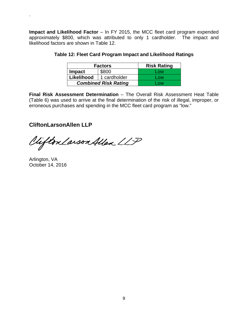**Impact and Likelihood Factor** – In FY 2015, the MCC fleet card program expended approximately \$800, which was attributed to only 1 cardholder. The impact and likelihood factors are shown in Table 12.

| <b>Factors</b>              |              | <b>Risk Rating</b> |
|-----------------------------|--------------|--------------------|
| <b>Impact</b>               | \$800        | Low                |
| Likelihood                  | 1 cardholder | Low                |
| <b>Combined Risk Rating</b> |              | <b>OW</b>          |

|  | Table 12: Fleet Card Program Impact and Likelihood Ratings |
|--|------------------------------------------------------------|
|--|------------------------------------------------------------|

**Final Risk Assessment Determination** – The Overall Risk Assessment Heat Table (Table 6) was used to arrive at the final determination of the risk of illegal, improper, or erroneous purchases and spending in the MCC fleet card program as "low."

# **CliftonLarsonAllen LLP**

Vifton Larson Allen LLP

Arlington, VA October 14, 2016

 $\ddot{\phantom{0}}$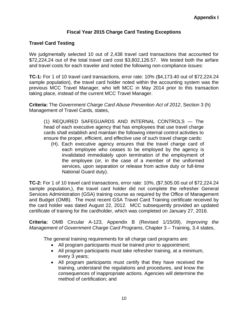# **Fiscal Year 2015 Charge Card Testing Exceptions**

# **Travel Card Testing**

We judgmentally selected 10 out of 2,438 travel card transactions that accounted for \$72,224.24 out of the total travel card cost \$3,802,126.57. We tested both the airfare and travel costs for each traveler and noted the following non-compliance issues:

**TC-1:** For 1 of 10 travel card transactions, error rate: 10% (\$4,173.40 out of \$72,224.24 sample population), the travel card holder noted within the accounting system was the previous MCC Travel Manager, who left MCC in May 2014 prior to this transaction taking place, instead of the current MCC Travel Manager.

**Criteria:** The *Government Charge Card Abuse Prevention Act of 2012*, Section 3 (h) Management of Travel Cards, states,

(1) REQUIRED SAFEGUARDS AND INTERNAL CONTROLS — The head of each executive agency that has employees that use travel charge cards shall establish and maintain the following internal control activities to ensure the proper, efficient, and effective use of such travel charge cards:

(H). Each executive agency ensures that the travel charge card of each employee who ceases to be employed by the agency is invalidated immediately upon termination of the employment of the employee (or, in the case of a member of the uniformed services, upon separation or release from active duty or full-time National Guard duty).

**TC-2:** For 1 of 10 travel card transactions, error rate: 10%, (\$7,505.00 out of \$72,224.24 sample population,), the travel card holder did not complete the refresher General Services Administration (GSA) training course as required by the Office of Management and Budget (OMB). The most recent GSA Travel Card Training certificate received by the card holder was dated August 22, 2012. MCC subsequently provided an updated certificate of training for the cardholder, which was completed on January 27, 2016.

**Criteria:** OMB Circular A-123, Appendix B (Revised 1/15/09), *Improving the Management of Government Charge Card Programs*, Chapter 3 – Training, 3.4 states,

The general training requirements for all charge card programs are:

- All program participants must be trained prior to appointment;
- All program participants must take refresher training, at a minimum, every 3 years;
- All program participants must certify that they have received the training, understand the regulations and procedures, and know the consequences of inappropriate actions. Agencies will determine the method of certification; and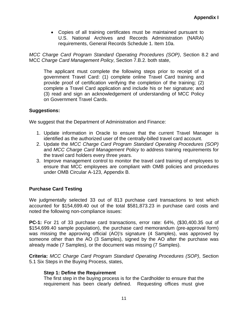Copies of all training certificates must be maintained pursuant to U.S. National Archives and Records Administration (NARA) requirements, General Records Schedule 1. Item 10a.

*MCC Charge Card Program Standard Operating Procedures (SOP)*, Section 8.2 and MCC *Charge Card Management Policy*, Section 7.B.2. both state,

The applicant must complete the following steps prior to receipt of a government Travel Card: (1) complete online Travel Card training and provide proof of certification verifying the completion of the training; (2) complete a Travel Card application and include his or her signature; and (3) read and sign an acknowledgement of understanding of MCC Policy on Government Travel Cards.

#### **Suggestions:**

We suggest that the Department of Administration and Finance:

- 1. Update information in Oracle to ensure that the current Travel Manager is identified as the authorized user of the centrally-billed travel card account.
- 2. Update the *MCC Charge Card Program Standard Operating Procedures (SOP)* and *MCC Charge Card Management Policy* to address training requirements for the travel card holders every three years.
- 3. Improve management control to monitor the travel card training of employees to ensure that MCC employees are compliant with OMB policies and procedures under OMB Circular A-123, Appendix B.

# **Purchase Card Testing**

We judgmentally selected 33 out of 813 purchase card transactions to test which accounted for \$154,699.40 out of the total \$581,873.23 in purchase card costs and noted the following non-compliance issues:

**PC-1:** For 21 of 33 purchase card transactions, error rate: 64%, (\$30,400.35 out of \$154,699.40 sample population), the purchase card memorandum (pre-approval form) was missing the approving official (AO)'s signature (4 Samples), was approved by someone other than the AO (3 Samples), signed by the AO after the purchase was already made (7 Samples), or the document was missing (7 Samples).

**Criteria:** *MCC Charge Card Program Standard Operating Procedures (SOP)*, Section 5.1 Six Steps in the Buying Process, states,

#### **Step 1: Define the Requirement**

The first step in the buying process is for the Cardholder to ensure that the requirement has been clearly defined. Requesting offices must give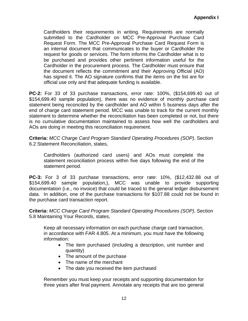Cardholders their requirements in writing. Requirements are normally submitted to the Cardholder on MCC Pre-Approval Purchase Card Request Form. The MCC Pre-Approval Purchase Card Request Form is an internal document that communicates to the buyer or Cardholder the request for goods or services. The form informs the Cardholder what is to be purchased and provides other pertinent information useful for the Cardholder in the procurement process. The Cardholder must ensure that the document reflects the commitment and their Approving Official (AO) has signed it. The AO signature confirms that the items on the list are for official use only and that adequate funding is available.

**PC-2:** For 33 of 33 purchase transactions, error rate: 100%, (\$154,699.40 out of \$154,699.40 sample population), there was no evidence of monthly purchase card statement being reconciled by the cardholder and AO within 5 business days after the end of charge card statement period. MCC was unable to track for the current monthly statement to determine whether the reconciliation has been completed or not, but there is no cumulative documentation maintained to assess how well the cardholders and AOs are doing in meeting this reconciliation requirement.

**Criteria:** *MCC Charge Card Program Standard Operating Procedures (SOP)*, Section 6.2 Statement Reconciliation, states,

Cardholders (authorized card users) and AOs must complete the statement reconciliation process within five days following the end of the statement period.

**PC-3:** For 3 of 33 purchase transactions, error rate: 10%, (\$12,432.88 out of \$154,699.40 sample population,), MCC was unable to provide supporting documentation (i.e., no invoice) that could be traced to the general ledger disbursement data. In addition, one of the purchase transactions for \$107.88 could not be found in the purchase card transaction report.

**Criteria:** *MCC Charge Card Program Standard Operating Procedures (SOP)*, Section 5.8 Maintaining Your Records, states,

Keep all necessary information on each purchase charge card transaction, in accordance with FAR 4.805. At a minimum, you must have the following information:

- The item purchased (including a description, unit number and quantity)
- The amount of the purchase
- The name of the merchant
- The date you received the item purchased

Remember you must keep your receipts and supporting documentation for three years after final payment. Annotate any receipts that are too general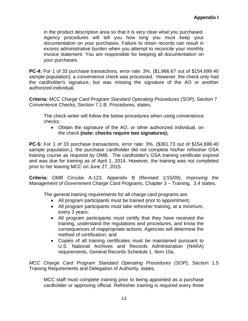in the product description area so that it is very clear what you purchased. Agency procedures will tell you how long you must keep your documentation on your purchases. Failure to retain records can result in excess administrative burden when you attempt to reconcile your monthly invoice statement. You are responsible for keeping all documentation on your purchases.

**PC-4:** For 1 of 33 purchase transactions, error rate: 3%, (\$1,966.67 out of \$154,699.40 sample population), a convenience check was processed. However, the check only had the cardholder's signature, but was missing the signature of the AO or another authorized individual.

**Criteria:** *MCC Charge Card Program Standard Operating Procedures (SOP)*, Section 7 Convenience Checks, Section 7.1.B. Procedures, states,

The check writer will follow the below procedures when using convenience checks:

 Obtain the signature of the AO, or other authorized individual, on the check **(note: checks require two signatures);**

**PC-5:** For 1 of 33 purchase transactions, error rate: 3%, (\$361.73 out of \$154,699.40 sample population,), the purchase cardholder did not complete his/her refresher GSA training course as required by OMB. The cardholder's GSA training certificate expired and was due for training as of April 1, 2014. However, the training was not completed prior to her leaving MCC on June 27, 2015.

**Criteria:** OMB Circular A-123, Appendix B (Revised 1/15/09), *Improving the Management of Government Charge Card Programs*, Chapter 3 – Training, 3.4 states,

The general training requirements for all charge card programs are:

- All program participants must be trained prior to appointment;
- All program participants must take refresher training, at a minimum, every 3 years;
- All program participants must certify that they have received the training, understand the regulations and procedures, and know the consequences of inappropriate actions. Agencies will determine the method of certification; and
- Copies of all training certificates must be maintained pursuant to U.S. National Archives and Records Administration (NARA) requirements, General Records Schedule 1. Item 10a.

*MCC Charge Card Program Standard Operating Procedures (SOP)*, Section 1.5 Training Requirements and Delegation of Authority, states,

MCC staff must complete training prior to being appointed as a purchase cardholder or approving official. Refresher training is required every three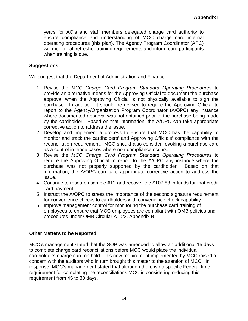years for AO's and staff members delegated charge card authority to ensure compliance and understanding of MCC charge card internal operating procedures (this plan). The Agency Program Coordinator (APC) will monitor all refresher training requirements and inform card participants when training is due.

#### **Suggestions:**

We suggest that the Department of Administration and Finance:

- 1. Revise the *MCC Charge Card Program Standard Operating Procedures* to provide an alternative means for the Approving Official to document the purchase approval when the Approving Official is not physically available to sign the purchase. In addition, it should be revised to require the Approving Official to report to the Agency/Organization Program Coordinator (A/OPC) any instance where documented approval was not obtained prior to the purchase being made by the cardholder. Based on that information, the A/OPC can take appropriate corrective action to address the issue.
- 2. Develop and implement a process to ensure that MCC has the capability to monitor and track the cardholders' and Approving Officials' compliance with the reconciliation requirement. MCC should also consider revoking a purchase card as a control in those cases where non-compliance occurs.
- 3. Revise the *MCC Charge Card Program Standard Operating Procedures* to require the Approving Official to report to the A/OPC any instance where the purchase was not properly supported by the cardholder. Based on that information, the A/OPC can take appropriate corrective action to address the issue.
- 4. Continue to research sample #12 and recover the \$107.88 in funds for that credit card payment.
- 5. Instruct the A/OPC to stress the importance of the second signature requirement for convenience checks to cardholders with convenience check capability.
- 6. Improve management control for monitoring the purchase card training of employees to ensure that MCC employees are compliant with OMB policies and procedures under OMB Circular A-123, Appendix B.

#### **Other Matters to be Reported**

MCC's management stated that the SOP was amended to allow an additional 15 days to complete charge card reconciliations before MCC would place the individual cardholder's charge card on hold. This new requirement implemented by MCC raised a concern with the auditors who in turn brought this matter to the attention of MCC. In response, MCC's management stated that although there is no specific Federal time requirement for completing the reconciliations MCC is considering reducing this requirement from 45 to 30 days.